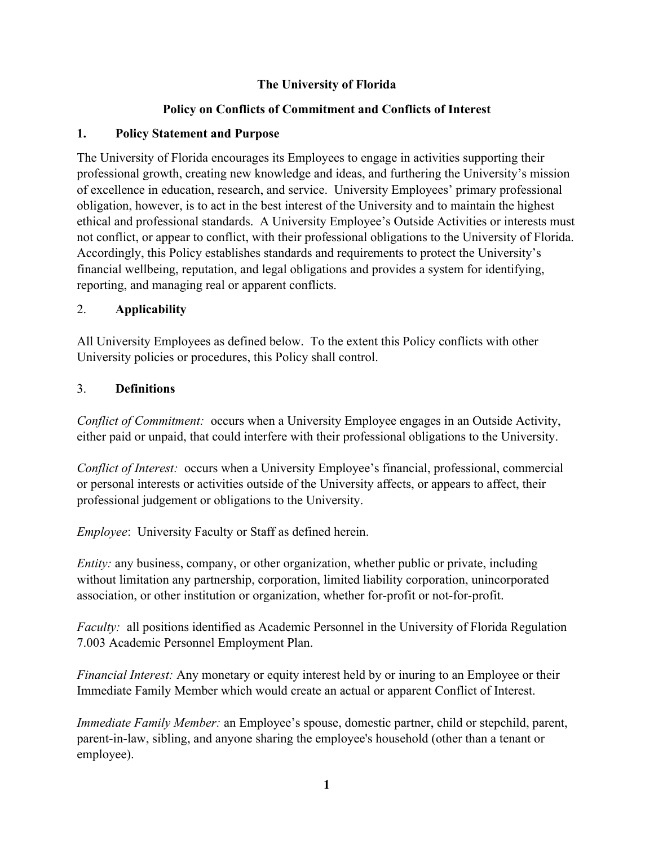# **The University of Florida**

# **Policy on Conflicts of Commitment and Conflicts of Interest**

### **1. Policy Statement and Purpose**

The University of Florida encourages its Employees to engage in activities supporting their professional growth, creating new knowledge and ideas, and furthering the University's mission of excellence in education, research, and service. University Employees' primary professional obligation, however, is to act in the best interest of the University and to maintain the highest ethical and professional standards. A University Employee's Outside Activities or interests must not conflict, or appear to conflict, with their professional obligations to the University of Florida. Accordingly, this Policy establishes standards and requirements to protect the University's financial wellbeing, reputation, and legal obligations and provides a system for identifying, reporting, and managing real or apparent conflicts.

### 2. **Applicability**

All University Employees as defined below. To the extent this Policy conflicts with other University policies or procedures, this Policy shall control.

### 3. **Definitions**

*Conflict of Commitment:* occurs when a University Employee engages in an Outside Activity, either paid or unpaid, that could interfere with their professional obligations to the University.

*Conflict of Interest:* occurs when a University Employee's financial, professional, commercial or personal interests or activities outside of the University affects, or appears to affect, their professional judgement or obligations to the University.

*Employee*: University Faculty or Staff as defined herein.

*Entity:* any business, company, or other organization, whether public or private, including without limitation any partnership, corporation, limited liability corporation, unincorporated association, or other institution or organization, whether for-profit or not-for-profit.

*Faculty:* all positions identified as Academic Personnel in the University of Florida Regulation 7.003 Academic Personnel Employment Plan.

*Financial Interest:* Any monetary or equity interest held by or inuring to an Employee or their Immediate Family Member which would create an actual or apparent Conflict of Interest.

*Immediate Family Member:* an Employee's spouse, domestic partner, child or stepchild, parent, parent-in-law, sibling, and anyone sharing the employee's household (other than a tenant or employee).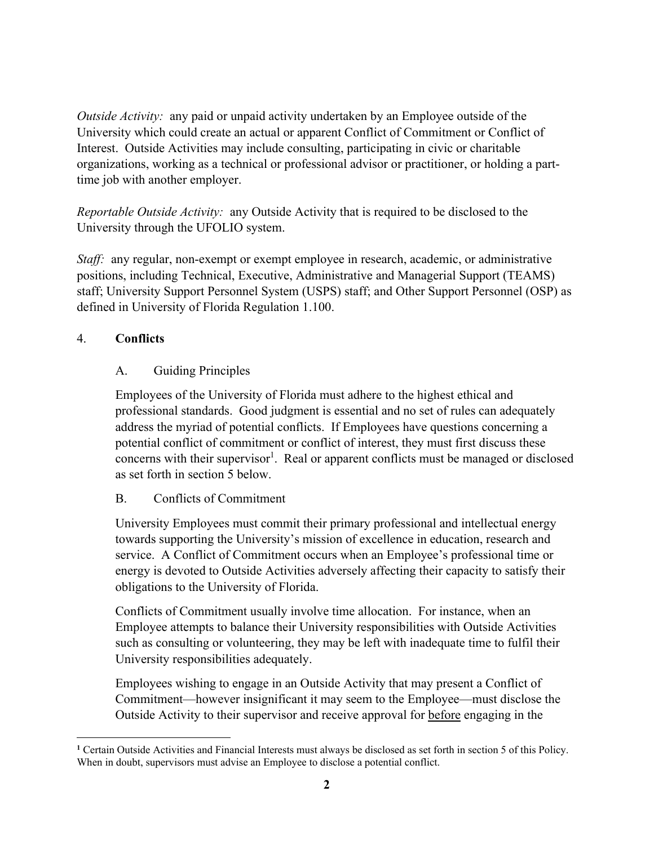*Outside Activity:* any paid or unpaid activity undertaken by an Employee outside of the University which could create an actual or apparent Conflict of Commitment or Conflict of Interest. Outside Activities may include consulting, participating in civic or charitable organizations, working as a technical or professional advisor or practitioner, or holding a parttime job with another employer.

*Reportable Outside Activity:* any Outside Activity that is required to be disclosed to the University through the UFOLIO system.

*Staff*: any regular, non-exempt or exempt employee in research, academic, or administrative positions, including Technical, Executive, Administrative and Managerial Support (TEAMS) staff; University Support Personnel System (USPS) staff; and Other Support Personnel (OSP) as defined in University of Florida Regulation 1.100.

### 4. **Conflicts**

### A. Guiding Principles

Employees of the University of Florida must adhere to the highest ethical and professional standards. Good judgment is essential and no set of rules can adequately address the myriad of potential conflicts. If Employees have questions concerning a potential conflict of commitment or conflict of interest, they must first discuss these concerns with their supervisor<sup>1</sup>. Real or apparent conflicts must be managed or disclosed as set forth in section 5 below.

### B. Conflicts of Commitment

University Employees must commit their primary professional and intellectual energy towards supporting the University's mission of excellence in education, research and service. A Conflict of Commitment occurs when an Employee's professional time or energy is devoted to Outside Activities adversely affecting their capacity to satisfy their obligations to the University of Florida.

Conflicts of Commitment usually involve time allocation. For instance, when an Employee attempts to balance their University responsibilities with Outside Activities such as consulting or volunteering, they may be left with inadequate time to fulfil their University responsibilities adequately.

Employees wishing to engage in an Outside Activity that may present a Conflict of Commitment—however insignificant it may seem to the Employee—must disclose the Outside Activity to their supervisor and receive approval for before engaging in the

**<sup>1</sup>** Certain Outside Activities and Financial Interests must always be disclosed as set forth in section 5 of this Policy. When in doubt, supervisors must advise an Employee to disclose a potential conflict.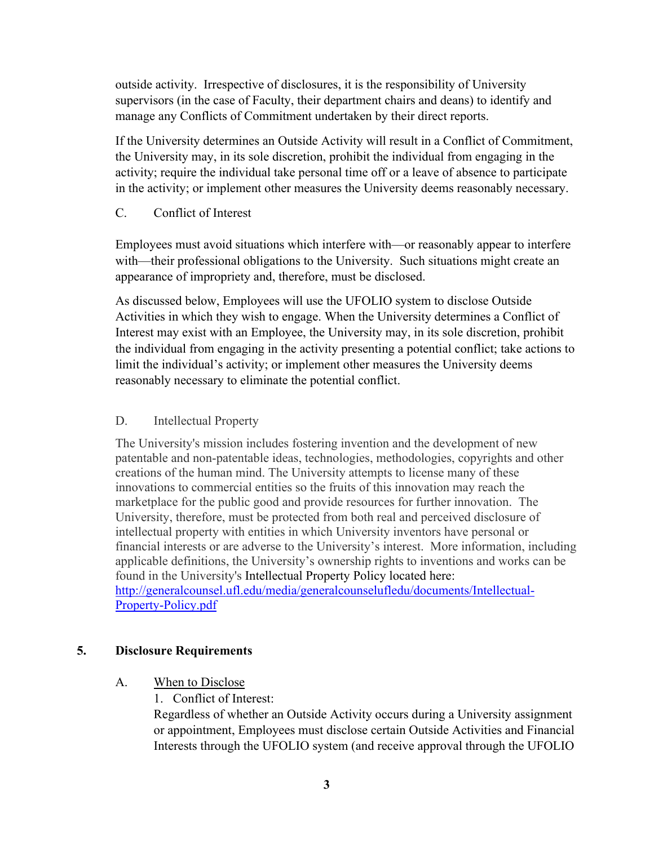outside activity. Irrespective of disclosures, it is the responsibility of University supervisors (in the case of Faculty, their department chairs and deans) to identify and manage any Conflicts of Commitment undertaken by their direct reports.

If the University determines an Outside Activity will result in a Conflict of Commitment, the University may, in its sole discretion, prohibit the individual from engaging in the activity; require the individual take personal time off or a leave of absence to participate in the activity; or implement other measures the University deems reasonably necessary.

C. Conflict of Interest

Employees must avoid situations which interfere with—or reasonably appear to interfere with—their professional obligations to the University. Such situations might create an appearance of impropriety and, therefore, must be disclosed.

As discussed below, Employees will use the UFOLIO system to disclose Outside Activities in which they wish to engage. When the University determines a Conflict of Interest may exist with an Employee, the University may, in its sole discretion, prohibit the individual from engaging in the activity presenting a potential conflict; take actions to limit the individual's activity; or implement other measures the University deems reasonably necessary to eliminate the potential conflict.

### D. Intellectual Property

The University's mission includes fostering invention and the development of new patentable and non-patentable ideas, technologies, methodologies, copyrights and other creations of the human mind. The University attempts to license many of these innovations to commercial entities so the fruits of this innovation may reach the marketplace for the public good and provide resources for further innovation. The University, therefore, must be protected from both real and perceived disclosure of intellectual property with entities in which University inventors have personal or financial interests or are adverse to the University's interest. More information, including applicable definitions, the University's ownership rights to inventions and works can be found in the University's Intellectual Property Policy located here: http://generalcounsel.ufl.edu/media/generalcounselufledu/documents/Intellectual-Property-Policy.pdf

#### **5. Disclosure Requirements**

### A. When to Disclose

1. Conflict of Interest:

Regardless of whether an Outside Activity occurs during a University assignment or appointment, Employees must disclose certain Outside Activities and Financial Interests through the UFOLIO system (and receive approval through the UFOLIO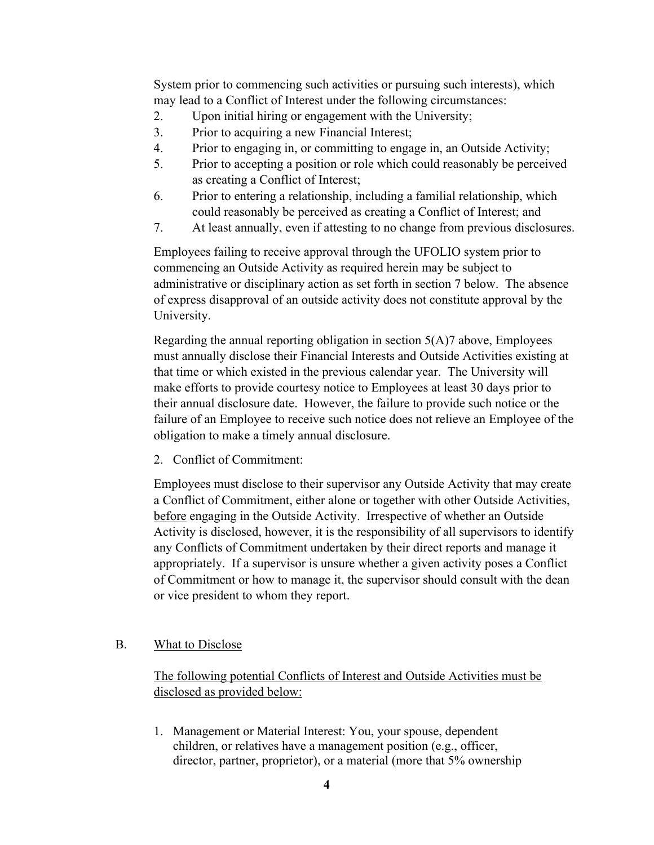System prior to commencing such activities or pursuing such interests), which may lead to a Conflict of Interest under the following circumstances:

- 2. Upon initial hiring or engagement with the University;
- 3. Prior to acquiring a new Financial Interest;
- 4. Prior to engaging in, or committing to engage in, an Outside Activity;
- 5. Prior to accepting a position or role which could reasonably be perceived as creating a Conflict of Interest;
- 6. Prior to entering a relationship, including a familial relationship, which could reasonably be perceived as creating a Conflict of Interest; and
- 7. At least annually, even if attesting to no change from previous disclosures.

Employees failing to receive approval through the UFOLIO system prior to commencing an Outside Activity as required herein may be subject to administrative or disciplinary action as set forth in section 7 below. The absence of express disapproval of an outside activity does not constitute approval by the University.

Regarding the annual reporting obligation in section 5(A)7 above, Employees must annually disclose their Financial Interests and Outside Activities existing at that time or which existed in the previous calendar year. The University will make efforts to provide courtesy notice to Employees at least 30 days prior to their annual disclosure date. However, the failure to provide such notice or the failure of an Employee to receive such notice does not relieve an Employee of the obligation to make a timely annual disclosure.

2. Conflict of Commitment:

Employees must disclose to their supervisor any Outside Activity that may create a Conflict of Commitment, either alone or together with other Outside Activities, before engaging in the Outside Activity. Irrespective of whether an Outside Activity is disclosed, however, it is the responsibility of all supervisors to identify any Conflicts of Commitment undertaken by their direct reports and manage it appropriately. If a supervisor is unsure whether a given activity poses a Conflict of Commitment or how to manage it, the supervisor should consult with the dean or vice president to whom they report.

### B. What to Disclose

The following potential Conflicts of Interest and Outside Activities must be disclosed as provided below:

1. Management or Material Interest: You, your spouse, dependent children, or relatives have a management position (e.g., officer, director, partner, proprietor), or a material (more that 5% ownership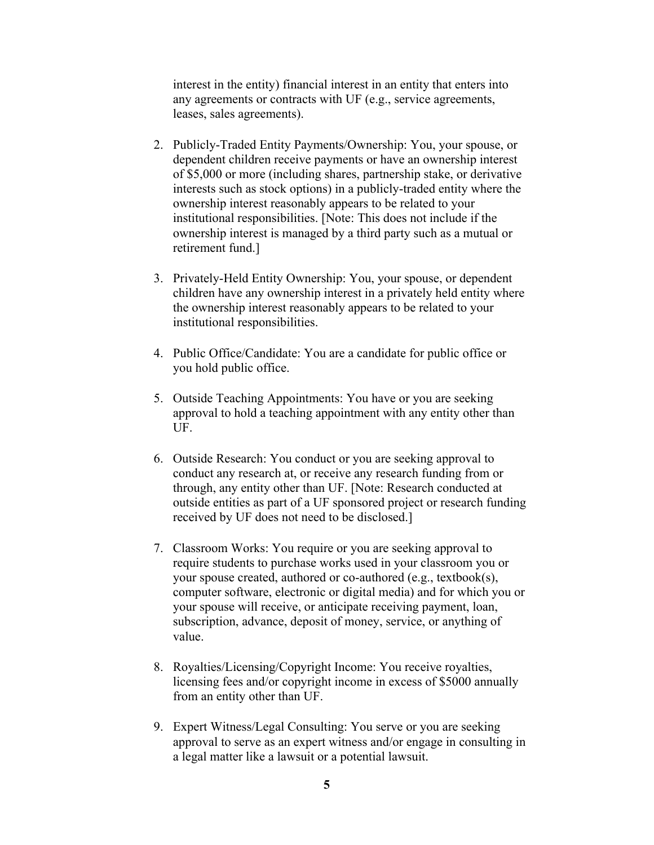interest in the entity) financial interest in an entity that enters into any agreements or contracts with UF (e.g., service agreements, leases, sales agreements).

- 2. Publicly-Traded Entity Payments/Ownership: You, your spouse, or dependent children receive payments or have an ownership interest of \$5,000 or more (including shares, partnership stake, or derivative interests such as stock options) in a publicly-traded entity where the ownership interest reasonably appears to be related to your institutional responsibilities. [Note: This does not include if the ownership interest is managed by a third party such as a mutual or retirement fund.]
- 3. Privately-Held Entity Ownership: You, your spouse, or dependent children have any ownership interest in a privately held entity where the ownership interest reasonably appears to be related to your institutional responsibilities.
- 4. Public Office/Candidate: You are a candidate for public office or you hold public office.
- 5. Outside Teaching Appointments: You have or you are seeking approval to hold a teaching appointment with any entity other than UF.
- 6. Outside Research: You conduct or you are seeking approval to conduct any research at, or receive any research funding from or through, any entity other than UF. [Note: Research conducted at outside entities as part of a UF sponsored project or research funding received by UF does not need to be disclosed.]
- 7. Classroom Works: You require or you are seeking approval to require students to purchase works used in your classroom you or your spouse created, authored or co-authored (e.g., textbook(s), computer software, electronic or digital media) and for which you or your spouse will receive, or anticipate receiving payment, loan, subscription, advance, deposit of money, service, or anything of value.
- 8. Royalties/Licensing/Copyright Income: You receive royalties, licensing fees and/or copyright income in excess of \$5000 annually from an entity other than UF.
- 9. Expert Witness/Legal Consulting: You serve or you are seeking approval to serve as an expert witness and/or engage in consulting in a legal matter like a lawsuit or a potential lawsuit.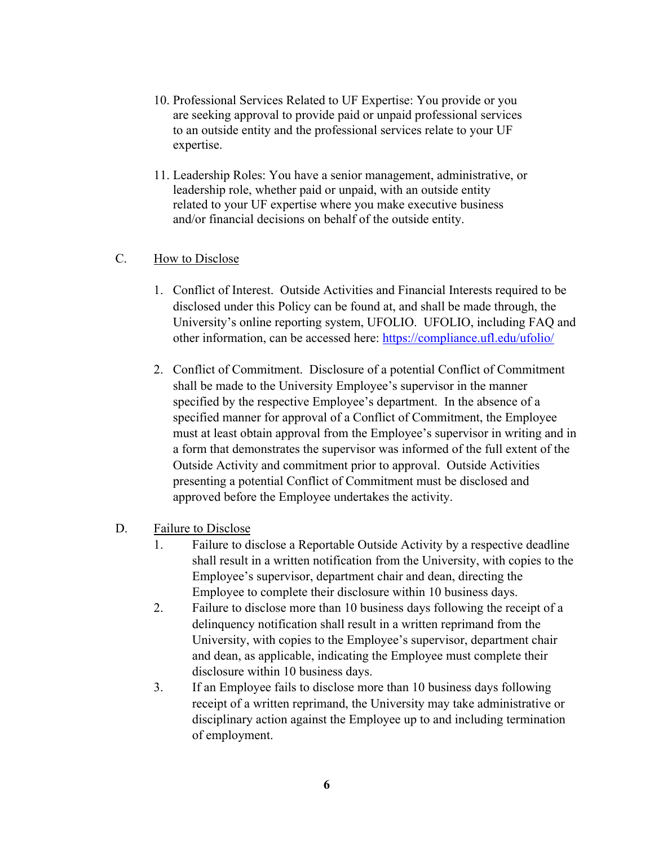- 10. Professional Services Related to UF Expertise: You provide or you are seeking approval to provide paid or unpaid professional services to an outside entity and the professional services relate to your UF expertise.
- 11. Leadership Roles: You have a senior management, administrative, or leadership role, whether paid or unpaid, with an outside entity related to your UF expertise where you make executive business and/or financial decisions on behalf of the outside entity.

### C. How to Disclose

- 1. Conflict of Interest. Outside Activities and Financial Interests required to be disclosed under this Policy can be found at, and shall be made through, the University's online reporting system, UFOLIO. UFOLIO, including FAQ and other information, can be accessed here: https://compliance.ufl.edu/ufolio/
- 2. Conflict of Commitment. Disclosure of a potential Conflict of Commitment shall be made to the University Employee's supervisor in the manner specified by the respective Employee's department. In the absence of a specified manner for approval of a Conflict of Commitment, the Employee must at least obtain approval from the Employee's supervisor in writing and in a form that demonstrates the supervisor was informed of the full extent of the Outside Activity and commitment prior to approval. Outside Activities presenting a potential Conflict of Commitment must be disclosed and approved before the Employee undertakes the activity.
- D. Failure to Disclose
	- 1. Failure to disclose a Reportable Outside Activity by a respective deadline shall result in a written notification from the University, with copies to the Employee's supervisor, department chair and dean, directing the Employee to complete their disclosure within 10 business days.
	- 2. Failure to disclose more than 10 business days following the receipt of a delinquency notification shall result in a written reprimand from the University, with copies to the Employee's supervisor, department chair and dean, as applicable, indicating the Employee must complete their disclosure within 10 business days.
	- 3. If an Employee fails to disclose more than 10 business days following receipt of a written reprimand, the University may take administrative or disciplinary action against the Employee up to and including termination of employment.